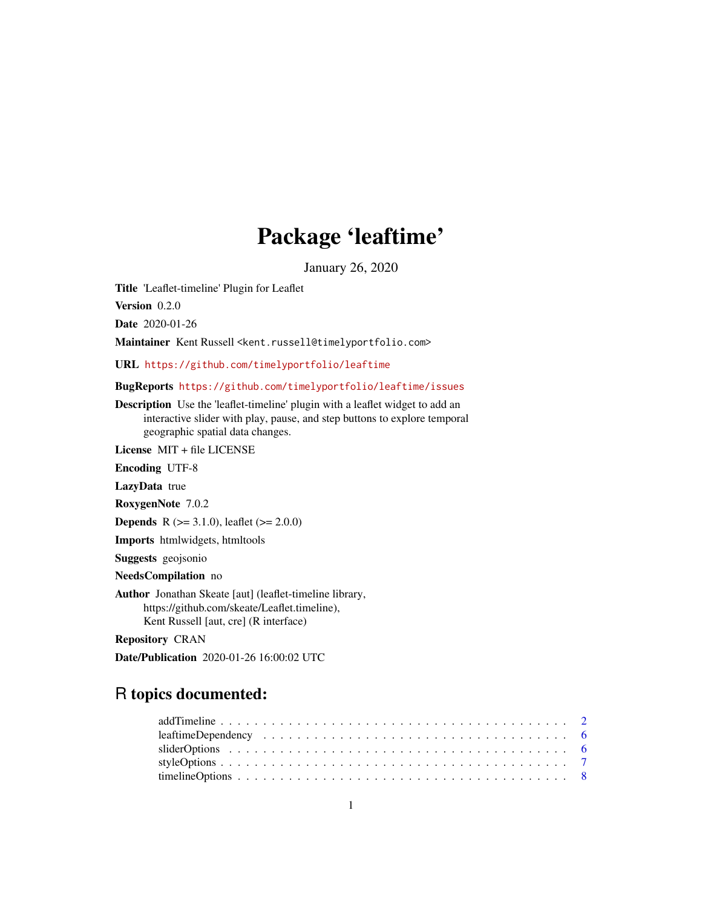## Package 'leaftime'

January 26, 2020

Title 'Leaflet-timeline' Plugin for Leaflet

Version 0.2.0

Date 2020-01-26

Maintainer Kent Russell <kent.russell@timelyportfolio.com>

URL <https://github.com/timelyportfolio/leaftime>

BugReports <https://github.com/timelyportfolio/leaftime/issues>

Description Use the 'leaflet-timeline' plugin with a leaflet widget to add an interactive slider with play, pause, and step buttons to explore temporal geographic spatial data changes.

License MIT + file LICENSE

Encoding UTF-8

LazyData true

RoxygenNote 7.0.2

**Depends** R ( $>= 3.1.0$ ), leaflet ( $>= 2.0.0$ )

Imports htmlwidgets, htmltools

Suggests geojsonio

NeedsCompilation no

Author Jonathan Skeate [aut] (leaflet-timeline library, https://github.com/skeate/Leaflet.timeline), Kent Russell [aut, cre] (R interface)

Repository CRAN

Date/Publication 2020-01-26 16:00:02 UTC

### R topics documented: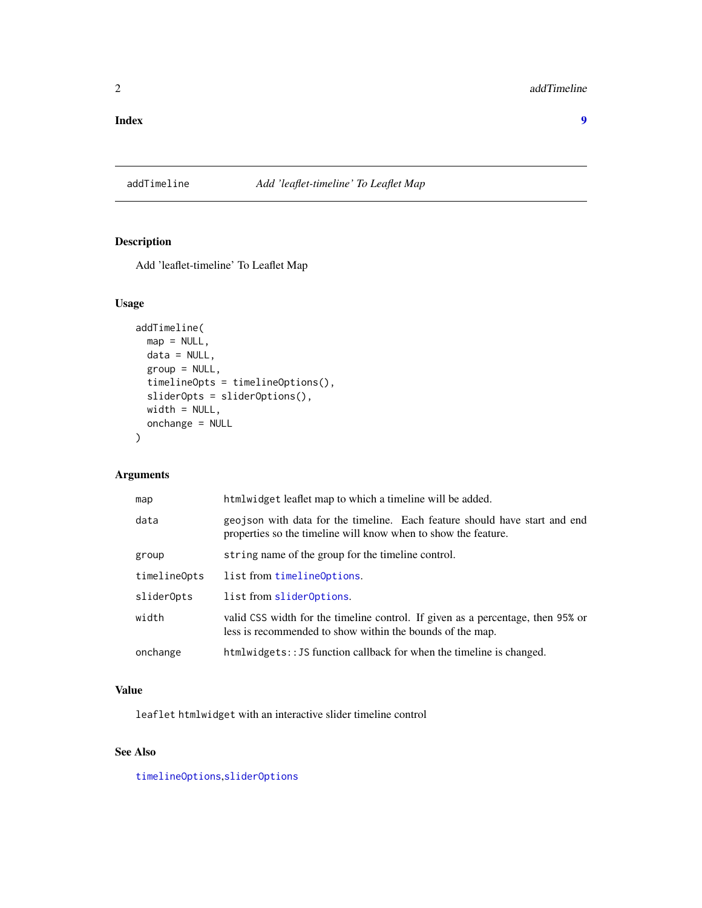#### <span id="page-1-0"></span>**Index** [9](#page-8-0)

#### <span id="page-1-1"></span>addTimeline *Add 'leaflet-timeline' To Leaflet Map*

#### Description

Add 'leaflet-timeline' To Leaflet Map

#### Usage

```
addTimeline(
 map = NULL,data = NULL,group = NULL,
 timelineOpts = timelineOptions(),
  sliderOpts = sliderOptions(),
 width = NULL,onchange = NULL
)
```
#### Arguments

| map          | htmlwidget leaflet map to which a timeline will be added.                                                                                    |
|--------------|----------------------------------------------------------------------------------------------------------------------------------------------|
| data         | geojson with data for the timeline. Each feature should have start and end<br>properties so the timeline will know when to show the feature. |
| group        | string name of the group for the timeline control.                                                                                           |
| timelineOpts | list from timelineOptions.                                                                                                                   |
| sliderOpts   | list from slider0ptions.                                                                                                                     |
| width        | valid CSS width for the timeline control. If given as a percentage, then 95% or<br>less is recommended to show within the bounds of the map. |
| onchange     | htmlwidgets:: JS function callback for when the timeline is changed.                                                                         |

#### Value

leaflet htmlwidget with an interactive slider timeline control

#### See Also

[timelineOptions](#page-7-1),[sliderOptions](#page-5-1)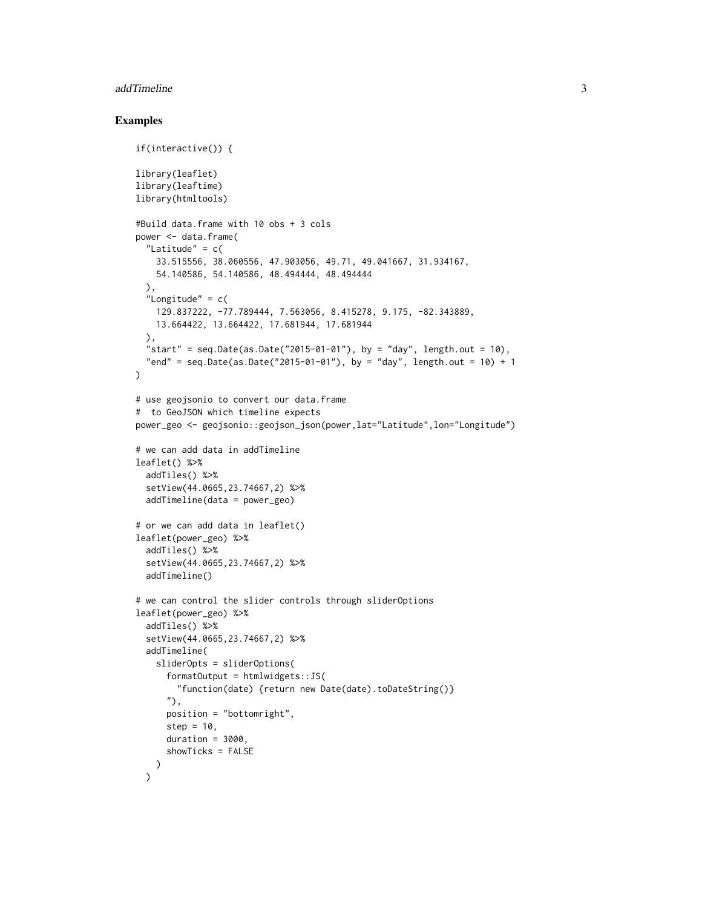#### addTimeline 3

#### Examples

```
if(interactive()) {
library(leaflet)
library(leaftime)
library(htmltools)
#Build data.frame with 10 obs + 3 cols
power <- data.frame(
  "Latitude" = c(33.515556, 38.060556, 47.903056, 49.71, 49.041667, 31.934167,
   54.140586, 54.140586, 48.494444, 48.494444
  ),
  "Longitude" = c(129.837222, -77.789444, 7.563056, 8.415278, 9.175, -82.343889,
   13.664422, 13.664422, 17.681944, 17.681944
  ),
  "start" = seq.Date(as.Date("2015-01-01"), by = "day", length.out = 10),
  "end" = seq.Date(as.Date("2015-01-01"), by = "day", length.out = 10) + 1
\mathcal{L}# use geojsonio to convert our data.frame
# to GeoJSON which timeline expects
power_geo <- geojsonio::geojson_json(power,lat="Latitude",lon="Longitude")
# we can add data in addTimeline
leaflet() %>%
  addTiles() %>%
  setView(44.0665,23.74667,2) %>%
  addTimeline(data = power_geo)
# or we can add data in leaflet()
leaflet(power_geo) %>%
  addTiles() %>%
  setView(44.0665,23.74667,2) %>%
  addTimeline()
# we can control the slider controls through sliderOptions
leaflet(power_geo) %>%
  addTiles() %>%
  setView(44.0665,23.74667,2) %>%
  addTimeline(
    sliderOpts = sliderOptions(
      formatOutput = htmlwidgets::JS(
        "function(date) {return new Date(date).toDateString()}
      "),
      position = "bottomright",
      step = 10,
      duration = 3000,
      showTicks = FALSE
   )
  \mathcal{L}
```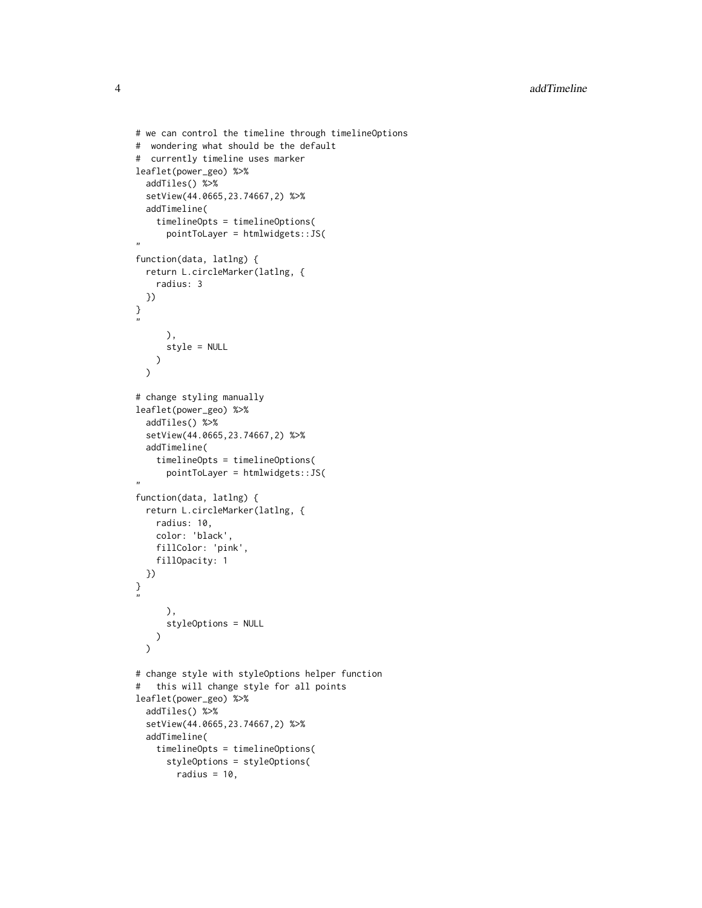```
# we can control the timeline through timelineOptions
# wondering what should be the default
# currently timeline uses marker
leaflet(power_geo) %>%
  addTiles() %>%
  setView(44.0665,23.74667,2) %>%
  addTimeline(
    timelineOpts = timelineOptions(
      pointToLayer = htmlwidgets::JS(
,,
function(data, latlng) {
  return L.circleMarker(latlng, {
    radius: 3
  })
}
"
      ),
      style = NULL
    )
  \mathcal{L}# change styling manually
leaflet(power_geo) %>%
  addTiles() %>%
  setView(44.0665,23.74667,2) %>%
  addTimeline(
    timelineOpts = timelineOptions(
      pointToLayer = htmlwidgets::JS(
,,
function(data, latlng) {
  return L.circleMarker(latlng, {
    radius: 10,
    color: 'black',
    fillColor: 'pink',
    fillOpacity: 1
  })
}
,,
      ),
      styleOptions = NULL
    )
  )
# change style with styleOptions helper function
# this will change style for all points
leaflet(power_geo) %>%
  addTiles() %>%
  setView(44.0665,23.74667,2) %>%
  addTimeline(
    timelineOpts = timelineOptions(
      styleOptions = styleOptions(
        radius = 10,
```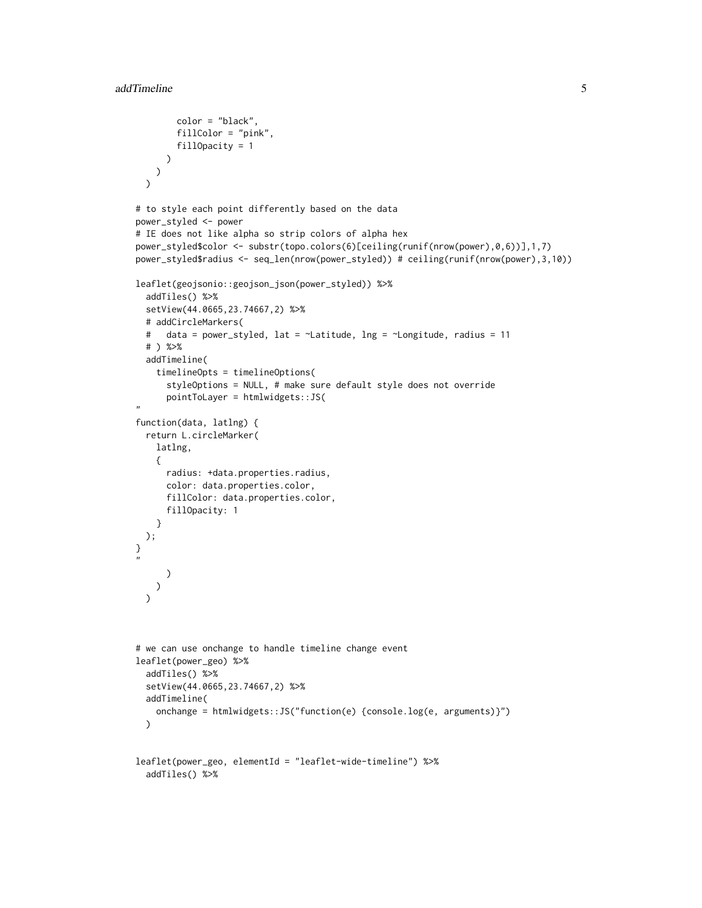```
color = "black",
        fillColor = "pink",
       fillOpacity = 1
     )
   )
 \lambda# to style each point differently based on the data
power_styled <- power
# IE does not like alpha so strip colors of alpha hex
power_styled$color <- substr(topo.colors(6)[ceiling(runif(nrow(power),0,6))],1,7)
power_styled$radius <- seq_len(nrow(power_styled)) # ceiling(runif(nrow(power),3,10))
leaflet(geojsonio::geojson_json(power_styled)) %>%
 addTiles() %>%
 setView(44.0665,23.74667,2) %>%
 # addCircleMarkers(
 # data = power_styled, lat = ~Latitude, lng = ~Longitude, radius = 11
 # ) %>%
 addTimeline(
   timelineOpts = timelineOptions(
     styleOptions = NULL, # make sure default style does not override
     pointToLayer = htmlwidgets::JS(
,,
function(data, latlng) {
 return L.circleMarker(
   latlng,
   {
     radius: +data.properties.radius,
     color: data.properties.color,
     fillColor: data.properties.color,
     fillOpacity: 1
   }
 );
}
"
     )
   )
 )
# we can use onchange to handle timeline change event
leaflet(power_geo) %>%
 addTiles() %>%
 setView(44.0665,23.74667,2) %>%
 addTimeline(
   onchange = htmlwidgets::JS("function(e) {console.log(e, arguments)}")
 \lambdaleaflet(power_geo, elementId = "leaflet-wide-timeline") %>%
 addTiles() %>%
```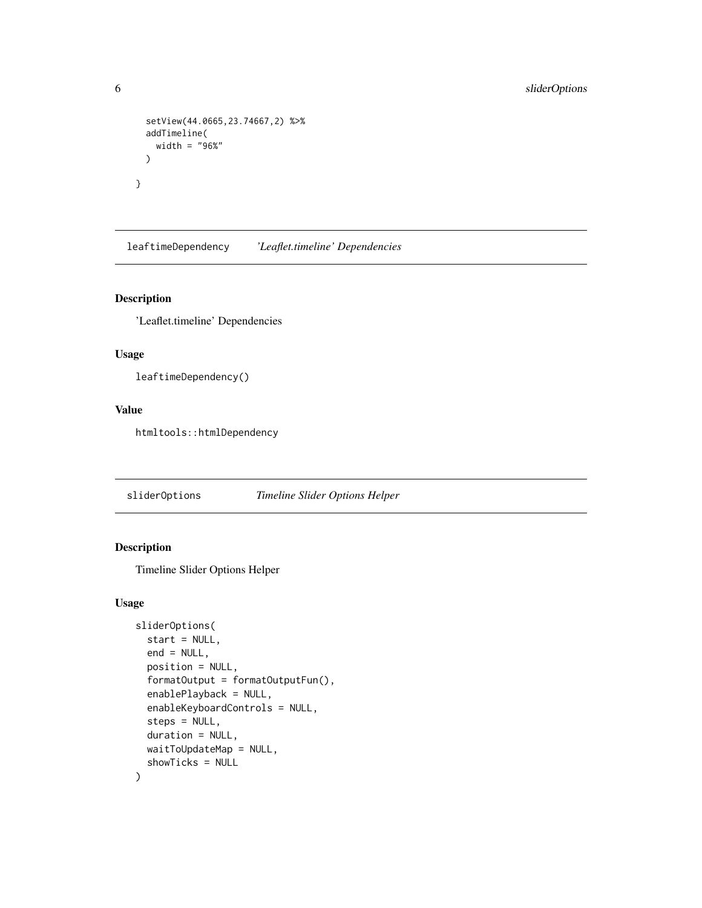```
setView(44.0665,23.74667,2) %>%
 addTimeline(
   width = "96%"
 )
}
```
leaftimeDependency *'Leaflet.timeline' Dependencies*

#### Description

'Leaflet.timeline' Dependencies

#### Usage

leaftimeDependency()

#### Value

htmltools::htmlDependency

<span id="page-5-1"></span>sliderOptions *Timeline Slider Options Helper*

#### Description

Timeline Slider Options Helper

#### Usage

```
sliderOptions(
  start = NULL,
  end = NULL,position = NULL,
  formatOutput = formatOutputFun(),
  enablePlayback = NULL,
  enableKeyboardControls = NULL,
  steps = NULL,
  duration = NULL,
 waitToUpdateMap = NULL,
  showTicks = NULL
\mathcal{E}
```
<span id="page-5-0"></span>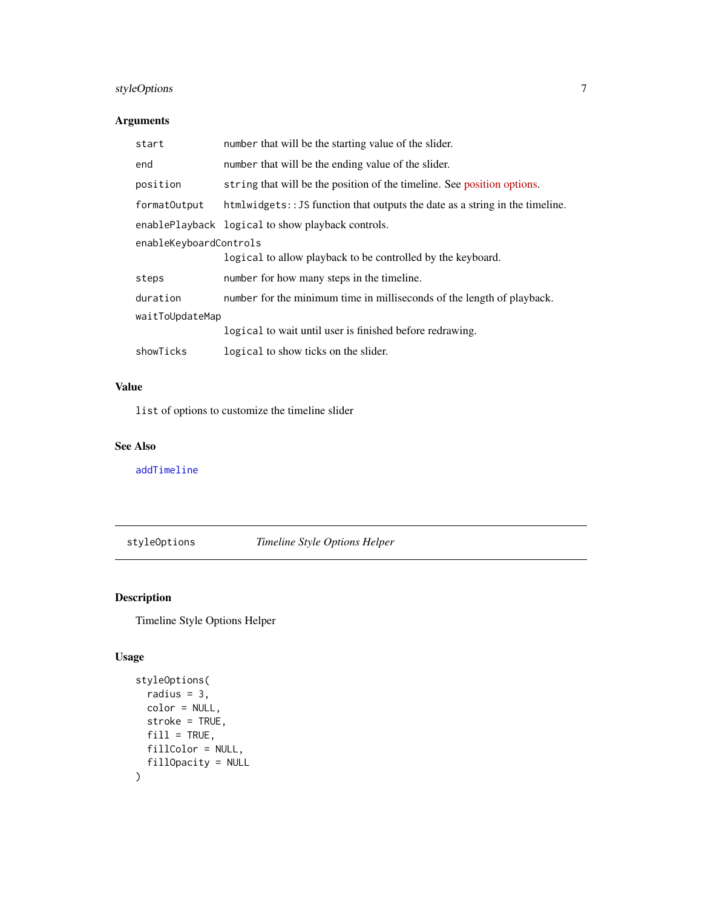#### <span id="page-6-0"></span>styleOptions 7

#### Arguments

| start                  | number that will be the starting value of the slider.                         |
|------------------------|-------------------------------------------------------------------------------|
| end                    | number that will be the ending value of the slider.                           |
| position               | string that will be the position of the timeline. See position options.       |
| formatOutput           | htmlwidgets: : JS function that outputs the date as a string in the timeline. |
|                        | enablePlayback logical to show playback controls.                             |
| enableKeyboardControls |                                                                               |
|                        | logical to allow playback to be controlled by the keyboard.                   |
| steps                  | number for how many steps in the timeline.                                    |
| duration               | number for the minimum time in milliseconds of the length of playback.        |
| waitToUpdateMap        |                                                                               |
|                        | logical to wait until user is finished before redrawing.                      |
| showTicks              | logical to show ticks on the slider.                                          |

#### Value

list of options to customize the timeline slider

#### See Also

[addTimeline](#page-1-1)

<span id="page-6-1"></span>styleOptions *Timeline Style Options Helper*

#### Description

Timeline Style Options Helper

#### Usage

```
styleOptions(
 radius = 3,
 color = NULL,
 stroke = TRUE,
 fill = TRUE,fillColor = NULL,
 fillOpacity = NULL
\mathcal{L}
```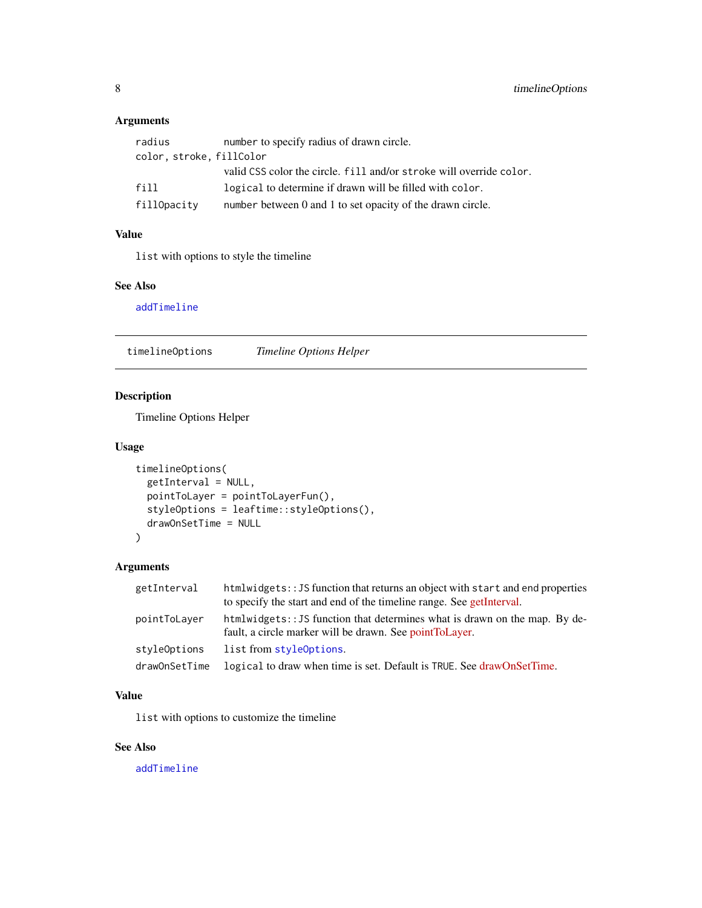#### <span id="page-7-0"></span>Arguments

| radius                   | number to specify radius of drawn circle.                           |
|--------------------------|---------------------------------------------------------------------|
| color, stroke, fillColor |                                                                     |
|                          | valid CSS color the circle. fill and/or stroke will override color. |
| fill                     | logical to determine if drawn will be filled with color.            |
| fillOpacity              | number between 0 and 1 to set opacity of the drawn circle.          |

#### Value

list with options to style the timeline

#### See Also

[addTimeline](#page-1-1)

<span id="page-7-1"></span>timelineOptions *Timeline Options Helper*

#### Description

Timeline Options Helper

#### Usage

```
timelineOptions(
 getInterval = NULL,
 pointToLayer = pointToLayerFun(),
  styleOptions = leaftime::styleOptions(),
  drawOnSetTime = NULL
\mathcal{L}
```
#### Arguments

| getInterval   | htmlwidgets: : JS function that returns an object with start and end properties<br>to specify the start and end of the timeline range. See getInterval. |
|---------------|---------------------------------------------------------------------------------------------------------------------------------------------------------|
| pointToLaver  | htmlwidgets:: JS function that determines what is drawn on the map. By de-<br>fault, a circle marker will be drawn. See point To Layer.                 |
| styleOptions  | list from style Options.                                                                                                                                |
| drawOnSetTime | logical to draw when time is set. Default is TRUE. See drawOnSetTime.                                                                                   |

#### Value

list with options to customize the timeline

#### See Also

[addTimeline](#page-1-1)